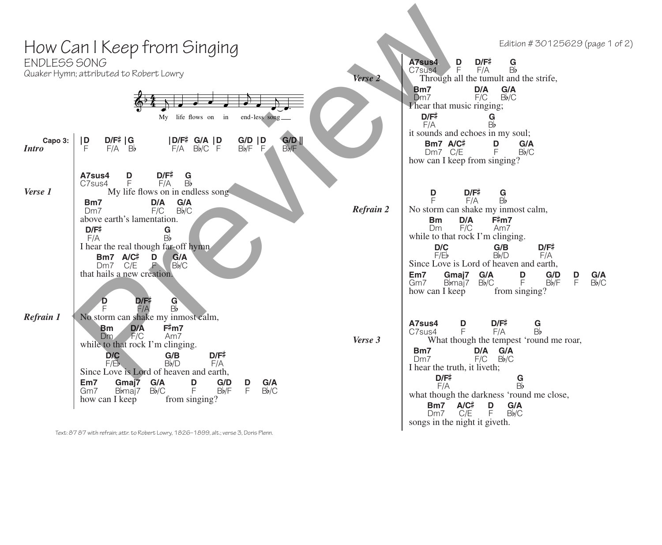| ENDLESS SONG     | How Can I Keep from Singing<br>Quaker Hymn; attributed to Robert Lowry                                                                                                                                                                                                                                                                                                                           | Verse 2   | Edition #30125629 (page 1 of 2)<br>A7sus4<br>$\frac{G}{B}$<br>D<br>D/F#<br>Ē<br>F/A<br>C7sus4<br>Through all the tumult and the strife,<br>G/A<br>D/A<br>B <sub>m7</sub>                                                                                                                                                                                                    |
|------------------|--------------------------------------------------------------------------------------------------------------------------------------------------------------------------------------------------------------------------------------------------------------------------------------------------------------------------------------------------------------------------------------------------|-----------|-----------------------------------------------------------------------------------------------------------------------------------------------------------------------------------------------------------------------------------------------------------------------------------------------------------------------------------------------------------------------------|
|                  | My life flows on in<br>end-less song                                                                                                                                                                                                                                                                                                                                                             |           | Bb/C<br>F/C<br>D <sub>m7</sub><br>Thear that music ringing;<br>$D/F^{\ddagger}$<br>$\frac{G}{B}$<br>F/A                                                                                                                                                                                                                                                                     |
| Capo 3:<br>Intro | $\frac{G/D}{B}$<br> D<br>$D/F#$ $ G$<br>$F/A$ $B$<br>$ D/F^*$ G/A $ D$<br>$F/A$ Bb/C F<br>$G/D$ $ D$<br>$Bb/F$ $F$                                                                                                                                                                                                                                                                               |           | it sounds and echoes in my soul;<br>Bm7 A/C <sup>#</sup><br>Dm7 C/E<br>D<br>G/A<br>Ē<br>Bb/C<br>how can I keep from singing?                                                                                                                                                                                                                                                |
| Verse 1          | $D/F\ddag$<br>$\frac{G}{B}$<br>A7sus4<br>D<br>F<br>F/A<br>C7sus4<br>My life flows on in endless song<br>G/A<br>D/A<br>Bm7<br>$F/C$ $Bb/C$<br>Dm7<br>above earth's lamentation.                                                                                                                                                                                                                   | Refrain 2 | D/F#<br>D<br>$\frac{G}{B}$<br>F<br>F/A<br>No storm can shake my inmost calm,<br>D/A<br>F#m7<br><b>Bm</b>                                                                                                                                                                                                                                                                    |
|                  | D/F#<br>G<br>Bb<br>F/A<br>I hear the real though far-off hymn<br>$Bm7$ $A/C^{\ddagger}$<br>Dm7 $C/E$<br>D<br>$G/A$<br>$Bb/C$<br>FV<br>that hails a new creation.<br>$\mathbf{G}$<br>D<br>D/F#<br>Bþ<br>F/A                                                                                                                                                                                       |           | F/C<br>Dm<br>Am7<br>while to that rock I'm clinging.<br>$D/F^{\ddagger}$<br>D/C<br>G/B<br>F/E<br>Bb/D<br>F/A<br>Since Love is Lord of heaven and earth,<br>Gmaj7<br>G/A<br>D<br>G/D<br>Em7<br>G/A<br>D<br>F<br>Bb/C<br>F<br>Bbmaj7<br>Bb/F<br>Bb/C<br>Gm7<br>how can I keep<br>from singing?                                                                                |
| <b>Refrain 1</b> | No storm can shake my inmost calm,<br>D/A<br>F#m7<br><b>Bm</b><br>$Dm$ $F/C$<br>Am7<br>while to that rock I'm clinging.<br>$D/F^{\ddagger}$<br>D/C<br>G/B<br>F/Eb<br>Bb/D<br>F/A<br>Since Love is Lord of heaven and earth,<br>Em7<br>G/A<br>G/D<br>G/A<br>Gmaj7<br>$\frac{D}{F}$<br>D<br>F<br>Bb/F<br>Bb/C<br>Bb/C<br>B <sub>b</sub> maj <sub>7</sub><br>Gm7<br>how can I keep<br>from singing? | Verse 3   | A7sus4<br>D<br>D/F#<br>$\frac{G}{B}$<br>F<br>F/A<br>C7sus4<br>What though the tempest 'round me roar,<br>Bm7<br>D/A G/A<br>$F/C$ $Bb/C$<br>Dm7<br>I hear the truth, it liveth;<br>$D/F^{\ddagger}$<br>$\frac{G}{B}$<br>F/A<br>what though the darkness 'round me close,<br>$A/C\ddag$<br>$\frac{D}{F}$<br>Bm7<br>G/A<br>Bb/C<br>C/E<br>Dm7<br>songs in the night it giveth. |
|                  | $-0.77.07$ and $-0.11$ and $-0.11$ and $-0.000$ and $-0.000$ and $-0.000$ and $-0.000$ and $-0.000$ and $-0.000$ and $-0.000$ and $-0.000$ and $-0.000$ and $-0.000$ and $-0.000$ and $-0.000$ and $-0.000$ and $-0.000$ a                                                                                                                                                                       |           |                                                                                                                                                                                                                                                                                                                                                                             |

Text: 87 87 with refrain; attr. to Robert Lowry, 1826–1899, alt.; verse 3, Doris Plenn.